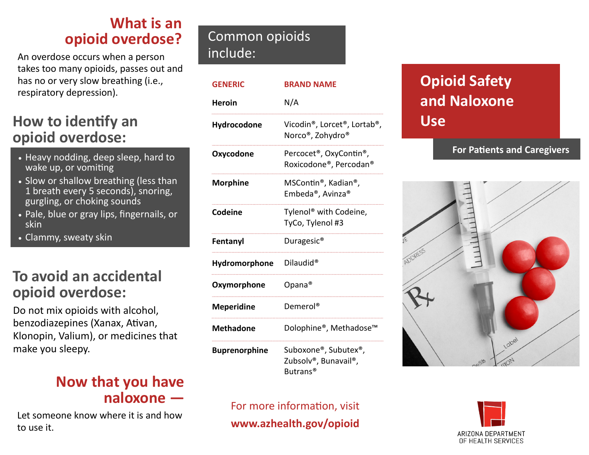## **What is an opioid overdose?**

An overdose occurs when a person takes too many opioids, passes out and has no or very slow breathing (i.e., respiratory depression).

## **How to identify an opioid overdose:**

- Heavy nodding, deep sleep, hard to wake up, or vomiting
- Slow or shallow breathing (less than 1 breath every 5 seconds), snoring, gurgling, or choking sounds
- **Pale, blue or gray lips, fingernails, or** skin
- Clammy, sweaty skin

## **To avoid an accidental opioid overdose:**

Do not mix opioids with alcohol, benzodiazepines (Xanax, Ativan, Klonopin, Valium), or medicines that make you sleepy.

### **Now that you have naloxone —**

Let someone know where it is and how to use it.

## Common opioids include:

| <b>GENERIC</b>       | <b>BRAND NAME</b>                                                                              |
|----------------------|------------------------------------------------------------------------------------------------|
| <b>Heroin</b>        | N/A                                                                                            |
| Hydrocodone          | Vicodin®, Lorcet®, Lortab®,<br>Norco®, Zohydro®                                                |
| Oxycodone            | Percocet <sup>®</sup> , OxyContin <sup>®</sup> ,<br>Roxicodone®, Percodan®                     |
| <b>Morphine</b>      | MSContin®, Kadian®,<br>Embeda®, Avinza®                                                        |
| Codeine              | Tylenol <sup>®</sup> with Codeine,<br>TyCo, Tylenol #3                                         |
| Fentanyl             | Duragesic <sup>®</sup>                                                                         |
| Hydromorphone        | Dilaudid <sup>®</sup>                                                                          |
| Oxymorphone          | Opana®                                                                                         |
| <b>Meperidine</b>    | Demerol <sup>®</sup>                                                                           |
| <b>Methadone</b>     | Dolophine®, Methadose™                                                                         |
| <b>Buprenorphine</b> | Suboxone®, Subutex®,<br>Zubsolv <sup>®</sup> , Bunavail <sup>®</sup> ,<br>Butrans <sup>®</sup> |

#### For more information, visit **www.azhealth.gov/opioid**

## **Opioid Safety and Naloxone Use**

#### **For Patients and Caregivers**